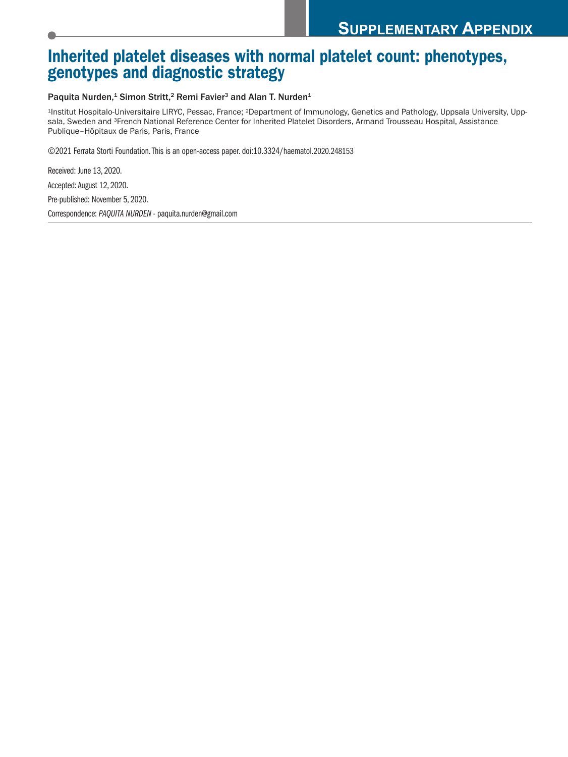## **Inherited platelet diseases with normal platelet count: phenotypes, genotypes and diagnostic strategy**

## Paquita Nurden,<sup>1</sup> Simon Stritt,<sup>2</sup> Remi Favier<sup>3</sup> and Alan T. Nurden<sup>1</sup>

1Institut Hospitalo-Universitaire LIRYC, Pessac, France; 2Department of Immunology, Genetics and Pathology, Uppsala University, Uppsala, Sweden and 3French National Reference Center for Inherited Platelet Disorders, Armand Trousseau Hospital, Assistance Publique–Hôpitaux de Paris, Paris, France

©2021 Ferrata Storti Foundation.This is an open-access paper. doi:10.3324/haematol.2020.248153

Received: June 13, 2020. Accepted: August 12, 2020. Pre-published: November 5, 2020. Correspondence: *PAQUITA NURDEN* - paquita.nurden@gmail.com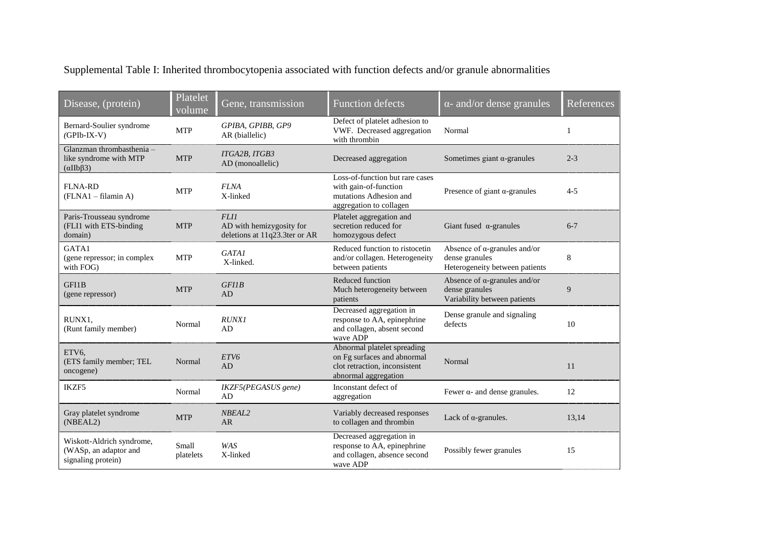Supplemental Table I: Inherited thrombocytopenia associated with function defects and/or granule abnormalities

| Disease, (protein)                                                                   | Platelet<br>volume | Gene, transmission                                                       | <b>Function defects</b>                                                                                             | $\alpha$ - and/or dense granules                                                         | References |
|--------------------------------------------------------------------------------------|--------------------|--------------------------------------------------------------------------|---------------------------------------------------------------------------------------------------------------------|------------------------------------------------------------------------------------------|------------|
| Bernard-Soulier syndrome<br>$(GPIb-IX-V)$                                            | <b>MTP</b>         | GPIBA, GPIBB, GP9<br>AR (biallelic)                                      | Defect of platelet adhesion to<br>VWF. Decreased aggregation<br>with thrombin                                       | Normal                                                                                   | 1          |
| Glanzman thrombasthenia -<br>like syndrome with MTP<br>$(\alpha \text{IIb} \beta 3)$ | <b>MTP</b>         | ITGA2B, ITGB3<br>AD (monoallelic)                                        | Decreased aggregation                                                                                               | Sometimes giant $\alpha$ -granules                                                       | $2 - 3$    |
| <b>FLNA-RD</b><br>(FLNA1 - filamin A)                                                | <b>MTP</b>         | <b>FLNA</b><br>X-linked                                                  | Loss-of-function but rare cases<br>with gain-of-function<br>mutations Adhesion and<br>aggregation to collagen       | Presence of giant $\alpha$ -granules                                                     | $4 - 5$    |
| Paris-Trousseau syndrome<br>(FLI1 with ETS-binding<br>domain)                        | <b>MTP</b>         | <b>FLI1</b><br>AD with hemizygosity for<br>deletions at 11q23.3ter or AR | Platelet aggregation and<br>secretion reduced for<br>homozygous defect                                              | Giant fused $\alpha$ -granules                                                           | $6 - 7$    |
| GATA1<br>(gene repressor; in complex<br>with FOG)                                    | <b>MTP</b>         | <b>GATA1</b><br>X-linked.                                                | Reduced function to ristocetin<br>and/or collagen. Heterogeneity<br>between patients                                | Absence of $\alpha$ -granules and/or<br>dense granules<br>Heterogeneity between patients | 8          |
| GFI1B<br>(gene repressor)                                                            | <b>MTP</b>         | GFIB<br>AD                                                               | Reduced function<br>Much heterogeneity between<br>patients                                                          | Absence of $\alpha$ -granules and/or<br>dense granules<br>Variability between patients   | 9          |
| RUNX1.<br>(Runt family member)                                                       | Normal             | <b>RUNX1</b><br>AD                                                       | Decreased aggregation in<br>response to AA, epinephrine<br>and collagen, absent second<br>wave ADP                  | Dense granule and signaling<br>defects                                                   | 10         |
| ETV6,<br>(ETS family member; TEL<br>oncogene)                                        | Normal             | ETV6<br>AD                                                               | Abnormal platelet spreading<br>on Fg surfaces and abnormal<br>clot retraction, inconsistent<br>abnormal aggregation | Normal                                                                                   | 11         |
| IKZF5                                                                                | Normal             | IKZF5(PEGASUS gene)<br>AD                                                | Inconstant defect of<br>aggregation                                                                                 | Fewer $\alpha$ - and dense granules.                                                     | 12         |
| Gray platelet syndrome<br>(NBEAL2)                                                   | <b>MTP</b>         | NBEAL2<br><b>AR</b>                                                      | Variably decreased responses<br>to collagen and thrombin                                                            | Lack of $\alpha$ -granules.                                                              | 13,14      |
| Wiskott-Aldrich syndrome,<br>(WASp, an adaptor and<br>signaling protein)             | Small<br>platelets | <b>WAS</b><br>X-linked                                                   | Decreased aggregation in<br>response to AA, epinephrine<br>and collagen, absence second<br>wave ADP                 | Possibly fewer granules                                                                  | 15         |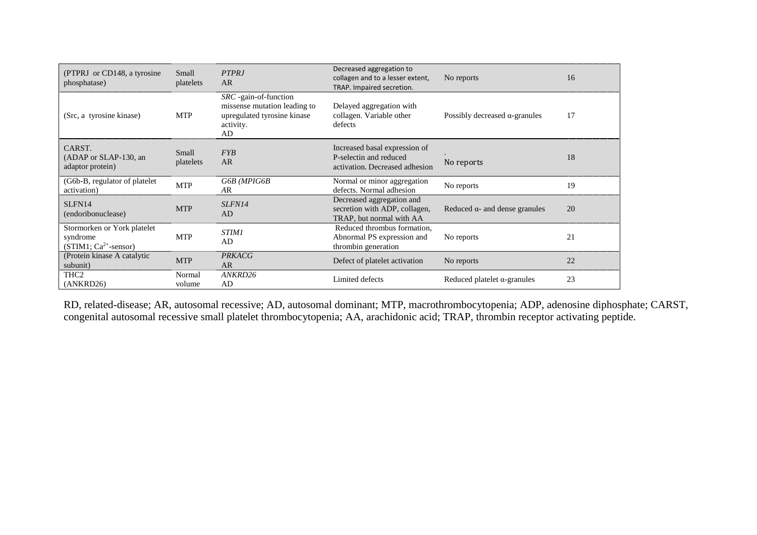| (PTPRJ or CD148, a tyrosine)<br>phosphatase)                      | Small<br>platelets | <b>PTPRJ</b><br><b>AR</b>                                                                               | Decreased aggregation to<br>collagen and to a lesser extent,<br>TRAP. Impaired secretion. | No reports                            | 16 |
|-------------------------------------------------------------------|--------------------|---------------------------------------------------------------------------------------------------------|-------------------------------------------------------------------------------------------|---------------------------------------|----|
| (Src, a tyrosine kinase)                                          | <b>MTP</b>         | SRC -gain-of-function<br>missense mutation leading to<br>upregulated tyrosine kinase<br>activity.<br>AD | Delayed aggregation with<br>collagen. Variable other<br>defects                           | Possibly decreased $\alpha$ -granules | 17 |
| CARST.<br>(ADAP or SLAP-130, an<br>adaptor protein)               | Small<br>platelets | <b>FYB</b><br>AR                                                                                        | Increased basal expression of<br>P-selectin and reduced<br>activation. Decreased adhesion | No reports                            | 18 |
| (G6b-B, regulator of platelet)<br>activation)                     | <b>MTP</b>         | G6B (MPIG6B<br>AR                                                                                       | Normal or minor aggregation<br>defects. Normal adhesion                                   | No reports                            | 19 |
| SLFN14<br>(endoribonuclease)                                      | <b>MTP</b>         | SLFN14<br>AD                                                                                            | Decreased aggregation and<br>secretion with ADP, collagen,<br>TRAP, but normal with AA    | Reduced $\alpha$ - and dense granules | 20 |
| Stormorken or York platelet<br>syndrome<br>$(STIM1; Ca2+-sensor)$ | <b>MTP</b>         | <b>STIM1</b><br>AD                                                                                      | Reduced thrombus formation,<br>Abnormal PS expression and<br>thrombin generation          | No reports                            | 21 |
| (Protein kinase A catalytic<br>subunit)                           | <b>MTP</b>         | <b>PRKACG</b><br><b>AR</b>                                                                              | Defect of platelet activation                                                             | No reports                            | 22 |
| THC <sub>2</sub><br>(ANKRD26)                                     | Normal<br>volume   | ANKRD26<br>AD                                                                                           | Limited defects                                                                           | Reduced platelet $\alpha$ -granules   | 23 |

RD, related-disease; AR, autosomal recessive; AD, autosomal dominant; MTP, macrothrombocytopenia; ADP, adenosine diphosphate; CARST, congenital autosomal recessive small platelet thrombocytopenia; AA, arachidonic acid; TRAP, thrombin receptor activating peptide.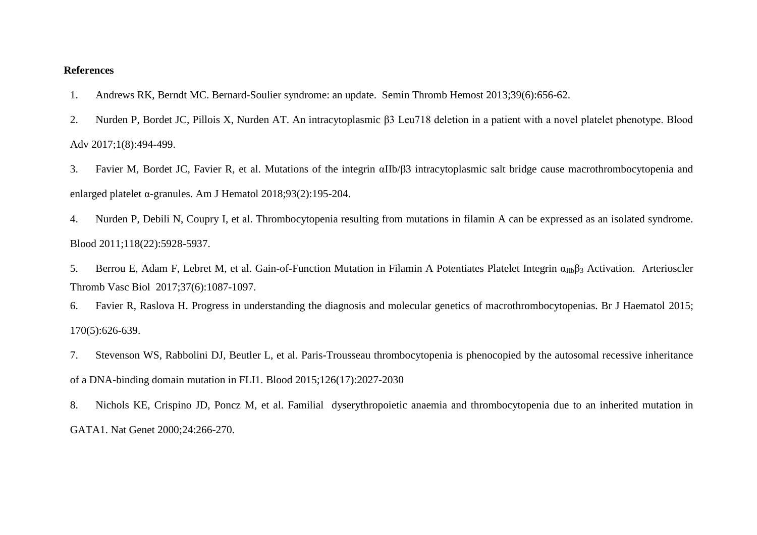## **References**

- 1. Andrews RK, Berndt MC. [Bernard-Soulier syndrome: an update.](https://pubmed-ncbi-nlm-nih-gov.proxy.insermbiblio.inist.fr/23929303/?from_term=BERNARD+SOULIER+SYNDROME+DEFECT+OF+ADHESIVITY+REVIEW&from_sort=date&from_pos=4) Semin Thromb Hemost 2013;39(6):656-62.
- 2. Nurden P, Bordet JC, Pillois X, Nurden AT. An intracytoplasmic β3 Leu718 deletion in a patient with a novel platelet phenotype. Blood Adv 2017;1(8):494-499.
- 3. Favier M, Bordet JC, Favier R, et al. [Mutations of the integrin αIIb/β3 intracytoplasmic salt bridge cause macrothrombocytopenia and](https://pubmed-ncbi-nlm-nih-gov.proxy.insermbiblio.inist.fr/29090484/?from_term=FAVIER+M+NURDEN+P&from_sort=date&from_pos=2)  [enlarged platelet α-granules. A](https://pubmed-ncbi-nlm-nih-gov.proxy.insermbiblio.inist.fr/29090484/?from_term=FAVIER+M+NURDEN+P&from_sort=date&from_pos=2)m J Hematol 2018;93(2):195-204.
- 4. Nurden P, Debili N, Coupry I, et al. Thrombocytopenia resulting from mutations in filamin A can be expressed as an isolated syndrome. Blood 2011;118(22):5928-5937.
- 5. Berrou E, Adam F, Lebret M, et al. [Gain-of-Function Mutation in Filamin A Potentiates Platelet Integrin α](https://pubmed-ncbi-nlm-nih-gov.proxy.insermbiblio.inist.fr/28428218/?from_term=berrou+e+nurden+p+flna&from_sort=date&from_pos=1)<sub>IIb</sub>β<sub>3</sub> Activation. Arterioscler Thromb Vasc Biol 2017;37(6):1087-1097.
- 6. Favier R, Raslova H. Progress in understanding the diagnosis and molecular genetics of macrothrombocytopenias. Br J Haematol 2015; 170(5):626-639.
- 7. Stevenson WS, Rabbolini DJ, Beutler L, et al. Paris-Trousseau thrombocytopenia is phenocopied by the autosomal recessive inheritance of a DNA-binding domain mutation in FLI1. Blood 2015;126(17):2027-2030
- 8. Nichols KE, Crispino JD, Poncz M, et al. Familial dyserythropoietic anaemia and thrombocytopenia due to an inherited mutation in GATA1. Nat Genet 2000;24:266-270.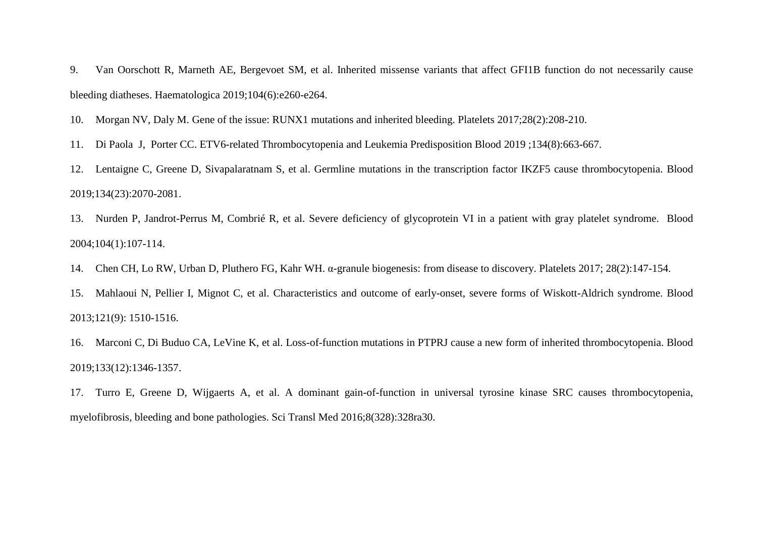9. Van Oorschott R, Marneth AE, Bergevoet SM, et al. Inherited missense variants that affect GFI1B function do not necessarily cause bleeding diatheses. Haematologica 2019;104(6):e260-e264.

10. Morgan NV, Daly M. Gene of the issue: RUNX1 mutations and inherited bleeding. Platelets 2017;28(2):208-210.

11. [Di Paola](https://pubmed-ncbi-nlm-nih-gov.proxy.insermbiblio.inist.fr/?sort=date&term=Di+Paola+J&cauthor_id=31248877) J, [Porter](https://pubmed-ncbi-nlm-nih-gov.proxy.insermbiblio.inist.fr/?sort=date&term=Porter+CC&cauthor_id=31248877) CC. ETV6-related Thrombocytopenia and Leukemia Predisposition Blood 2019 ;134(8):663-667.

12. Lentaigne C, Greene D, Sivapalaratnam S, et al. Germline [mutations in the transcription factor IKZF5 cause thrombocytopenia. B](https://pubmed-ncbi-nlm-nih-gov.proxy.insermbiblio.inist.fr/31217188/?from_term=ikzf5&from_pos=1)lood 2019;134(23):2070-2081.

13. Nurden P, Jandrot-Perrus M, Combrié R, et al. [Severe deficiency of glycoprotein VI in a patient with gray platelet syndrome.](https://pubmed-ncbi-nlm-nih-gov.proxy.insermbiblio.inist.fr/15010364/?from_term=nurden+gray+syndrome&from_sort=date&from_page=2&from_pos=8) Blood 2004;104(1):107-114.

14. Chen CH, Lo RW, Urban D, Pluthero FG, Kahr WH. α-granule biogenesis: from disease to discovery. Platelets 2017; 28(2):147-154.

15. Mahlaoui N, Pellier I, Mignot C, et al. Characteristics and outcome of early-onset, severe forms of Wiskott-Aldrich syndrome. Blood 2013;121(9): 1510-1516.

16. Marconi C, Di Buduo CA, LeVine K, et al. Loss-of-function mutations in PTPRJ cause a new form of inherited thrombocytopenia. Blood 2019;133(12):1346-1357.

17. Turro E, Greene D, Wijgaerts A, et al. A dominant gain-of-function in universal tyrosine kinase SRC causes thrombocytopenia, myelofibrosis, bleeding and bone pathologies. Sci Transl Med 2016;8(328):328ra30.